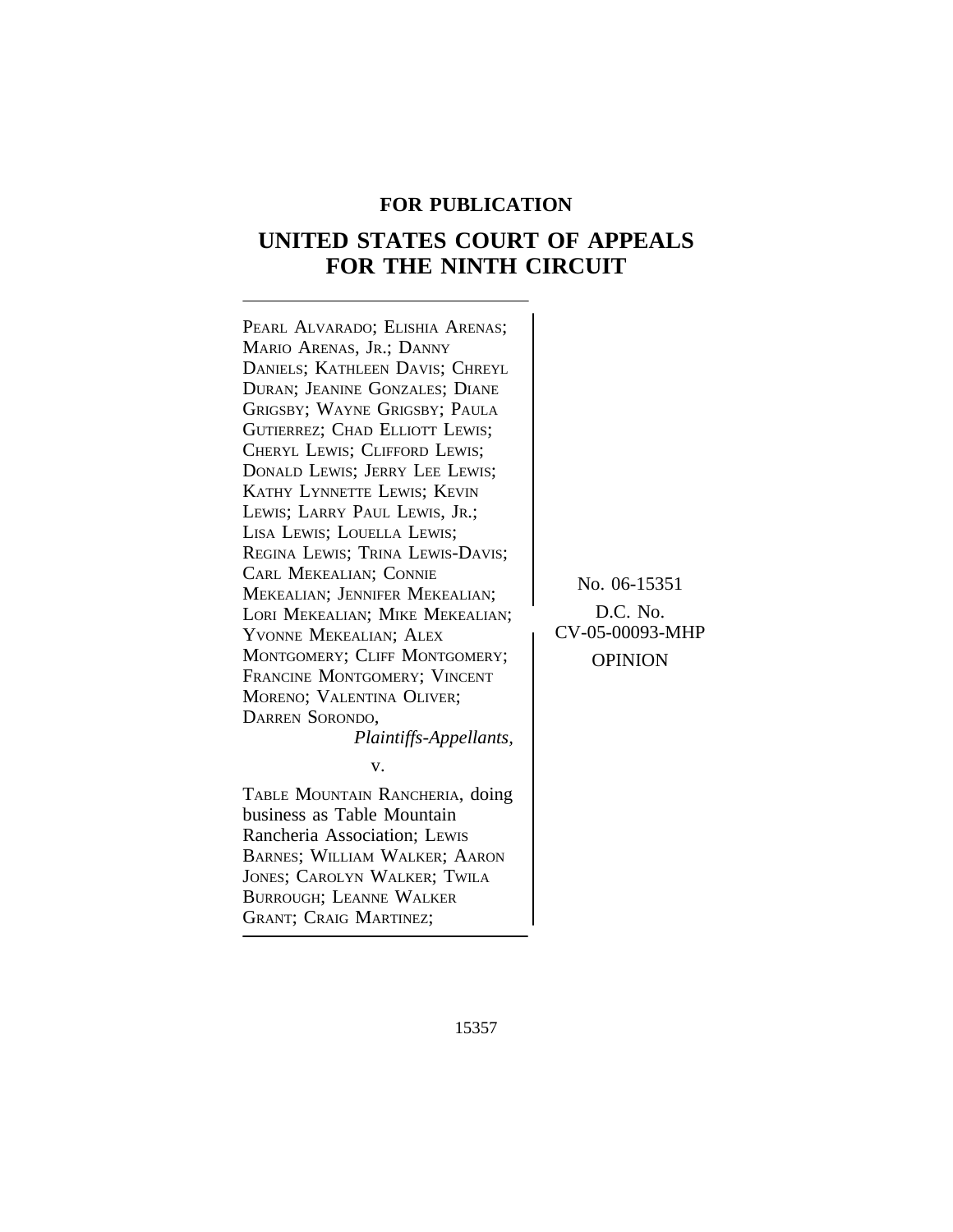## **FOR PUBLICATION**

# **UNITED STATES COURT OF APPEALS FOR THE NINTH CIRCUIT**

PEARL ALVARADO; ELISHIA ARENAS; MARIO ARENAS, JR.; DANNY DANIELS; KATHLEEN DAVIS; CHREYL DURAN; JEANINE GONZALES; DIANE GRIGSBY; WAYNE GRIGSBY; PAULA GUTIERREZ; CHAD ELLIOTT LEWIS; CHERYL LEWIS; CLIFFORD LEWIS; DONALD LEWIS; JERRY LEE LEWIS; KATHY LYNNETTE LEWIS; KEVIN LEWIS; LARRY PAUL LEWIS, JR.; LISA LEWIS; LOUELLA LEWIS; REGINA LEWIS; TRINA LEWIS-DAVIS;<br>CARL MEKEALIAN; CONNIE CARL MEREALIAN, CONNIE<br>
MEKEALIAN; JENNIFER MEKEALIAN; NO. 06-15351<br>
LORI MEKEALIAN: MIKE MEKEALIAN; D.C. No. LORI MEKEALIAN; MIKE MEKEALIAN; D.C. No.<br>YVONNE MEKEALIAN; ALEX CV-05-00093-MHP MONTGOMERY; CLIFF MONTGOMERY; OPINION FRANCINE MONTGOMERY; VINCENT MORENO; VALENTINA OLIVER; DARREN SORONDO, *Plaintiffs-Appellants,* v. TABLE MOUNTAIN RANCHERIA, doing business as Table Mountain Rancheria Association; LEWIS

BARNES; WILLIAM WALKER; AARON JONES; CAROLYN WALKER; TWILA BURROUGH; LEANNE WALKER <sup>G</sup>RANT; CRAIG MARTINEZ;

15357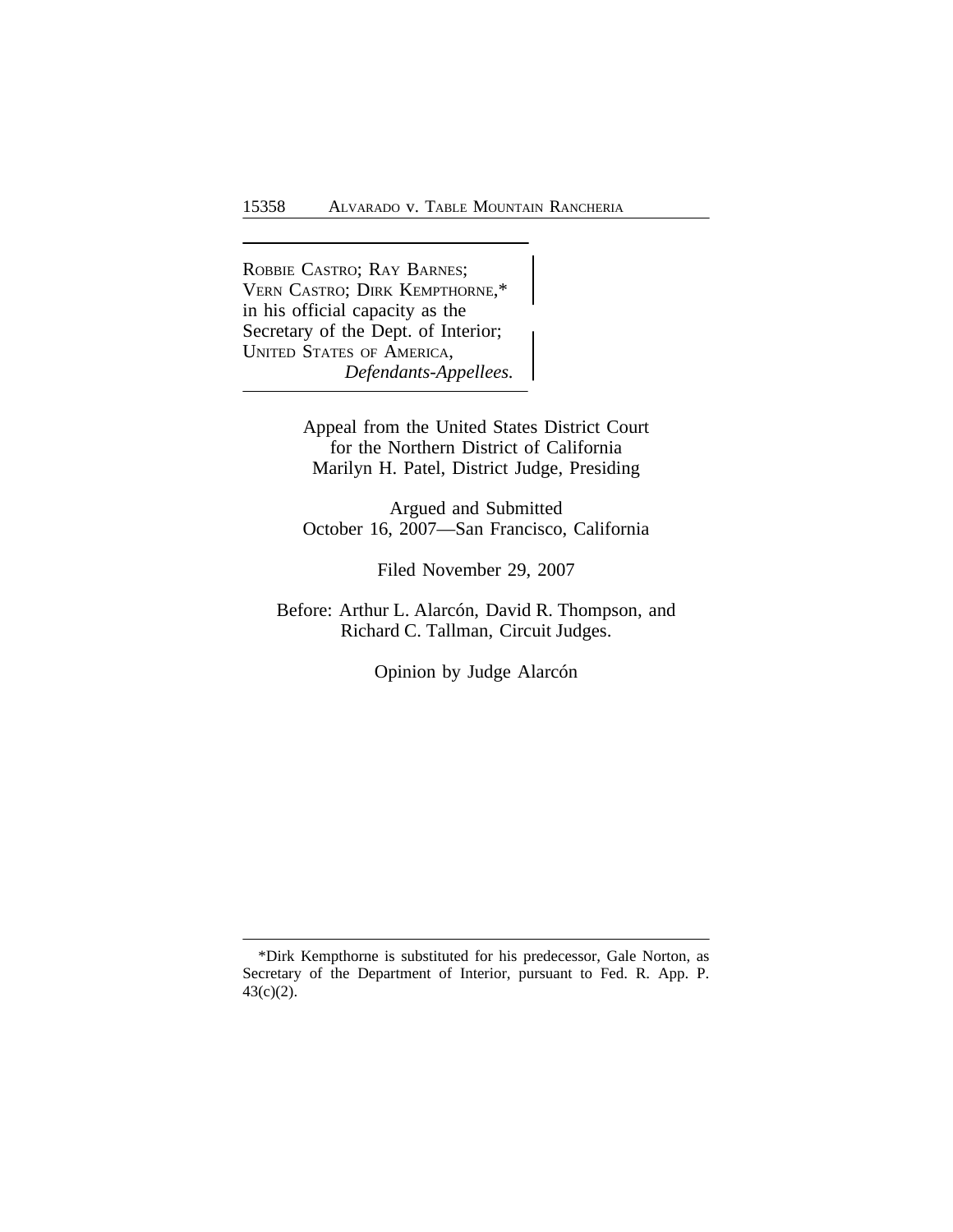<sup>R</sup>OBBIE CASTRO; RAY BARNES; VERN CASTRO; DIRK KEMPTHORNE,\* in his official capacity as the Secretary of the Dept. of Interior; UNITED STATES OF AMERICA, *Defendants-Appellees.*

> Appeal from the United States District Court for the Northern District of California Marilyn H. Patel, District Judge, Presiding

> Argued and Submitted October 16, 2007—San Francisco, California

> > Filed November 29, 2007

Before: Arthur L. Alarcón, David R. Thompson, and Richard C. Tallman, Circuit Judges.

Opinion by Judge Alarcón

<sup>\*</sup>Dirk Kempthorne is substituted for his predecessor, Gale Norton, as Secretary of the Department of Interior, pursuant to Fed. R. App. P. 43(c)(2).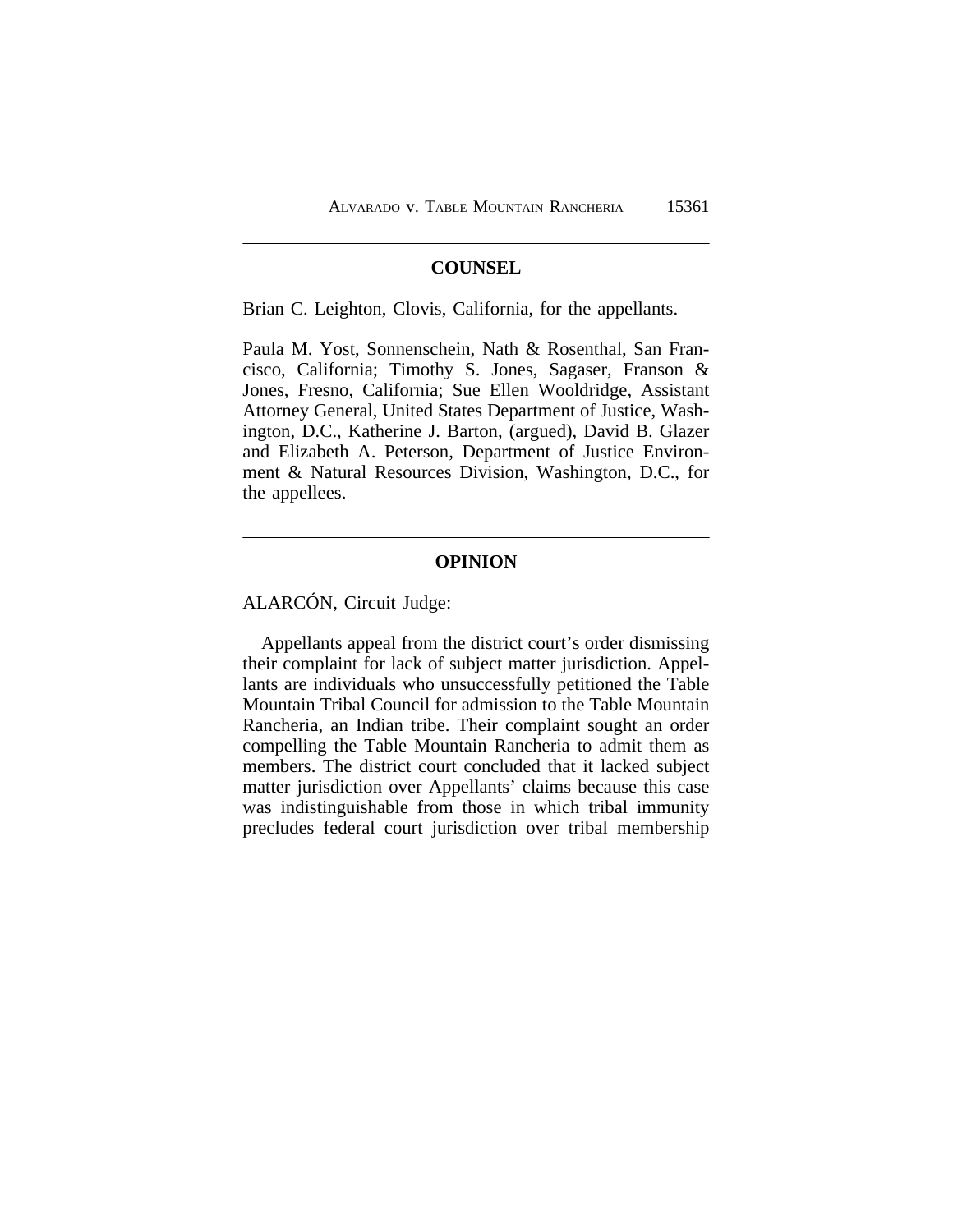## **COUNSEL**

Brian C. Leighton, Clovis, California, for the appellants.

Paula M. Yost, Sonnenschein, Nath & Rosenthal, San Francisco, California; Timothy S. Jones, Sagaser, Franson & Jones, Fresno, California; Sue Ellen Wooldridge, Assistant Attorney General, United States Department of Justice, Washington, D.C., Katherine J. Barton, (argued), David B. Glazer and Elizabeth A. Peterson, Department of Justice Environment & Natural Resources Division, Washington, D.C., for the appellees.

#### **OPINION**

ALARCÓN, Circuit Judge:

Appellants appeal from the district court's order dismissing their complaint for lack of subject matter jurisdiction. Appellants are individuals who unsuccessfully petitioned the Table Mountain Tribal Council for admission to the Table Mountain Rancheria, an Indian tribe. Their complaint sought an order compelling the Table Mountain Rancheria to admit them as members. The district court concluded that it lacked subject matter jurisdiction over Appellants' claims because this case was indistinguishable from those in which tribal immunity precludes federal court jurisdiction over tribal membership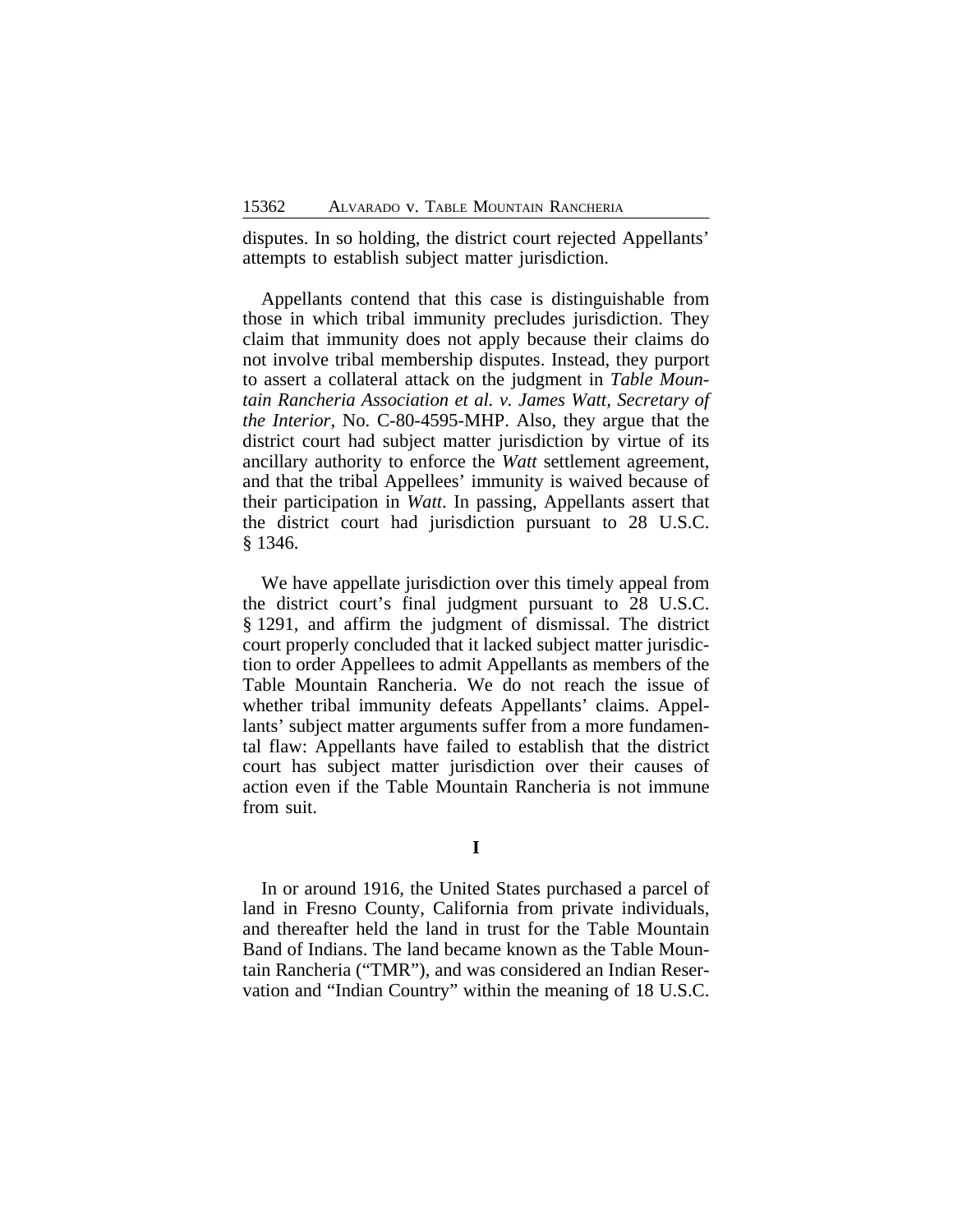disputes. In so holding, the district court rejected Appellants' attempts to establish subject matter jurisdiction.

Appellants contend that this case is distinguishable from those in which tribal immunity precludes jurisdiction. They claim that immunity does not apply because their claims do not involve tribal membership disputes. Instead, they purport to assert a collateral attack on the judgment in *Table Mountain Rancheria Association et al. v. James Watt, Secretary of the Interior*, No. C-80-4595-MHP. Also, they argue that the district court had subject matter jurisdiction by virtue of its ancillary authority to enforce the *Watt* settlement agreement, and that the tribal Appellees' immunity is waived because of their participation in *Watt*. In passing, Appellants assert that the district court had jurisdiction pursuant to 28 U.S.C. § 1346.

We have appellate jurisdiction over this timely appeal from the district court's final judgment pursuant to 28 U.S.C. § 1291, and affirm the judgment of dismissal. The district court properly concluded that it lacked subject matter jurisdiction to order Appellees to admit Appellants as members of the Table Mountain Rancheria. We do not reach the issue of whether tribal immunity defeats Appellants' claims. Appellants' subject matter arguments suffer from a more fundamental flaw: Appellants have failed to establish that the district court has subject matter jurisdiction over their causes of action even if the Table Mountain Rancheria is not immune from suit.

In or around 1916, the United States purchased a parcel of land in Fresno County, California from private individuals, and thereafter held the land in trust for the Table Mountain Band of Indians. The land became known as the Table Mountain Rancheria ("TMR"), and was considered an Indian Reservation and "Indian Country" within the meaning of 18 U.S.C.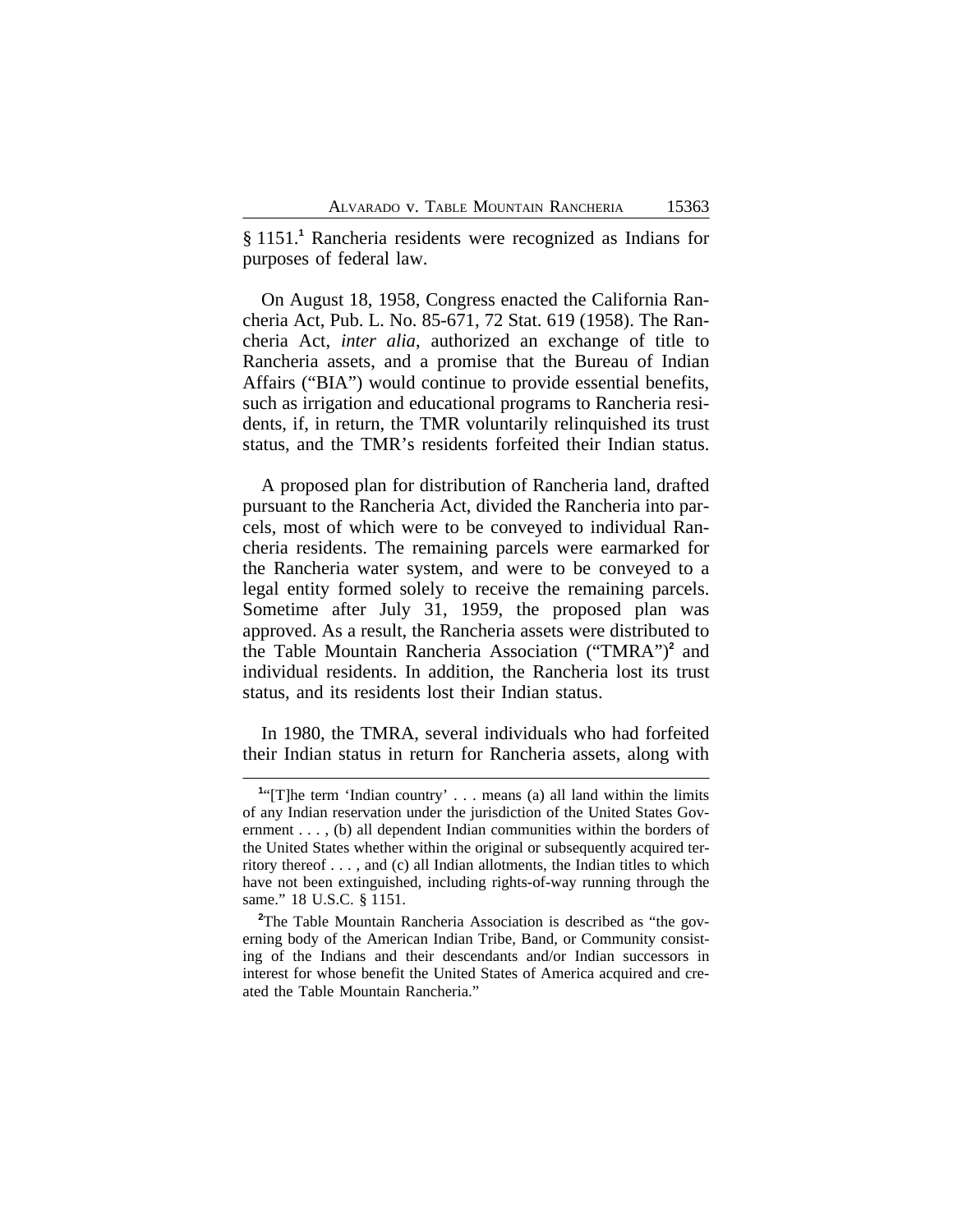§ 1151.<sup>1</sup> Rancheria residents were recognized as Indians for purposes of federal law.

On August 18, 1958, Congress enacted the California Rancheria Act, Pub. L. No. 85-671, 72 Stat. 619 (1958). The Rancheria Act, *inter alia*, authorized an exchange of title to Rancheria assets, and a promise that the Bureau of Indian Affairs ("BIA") would continue to provide essential benefits, such as irrigation and educational programs to Rancheria residents, if, in return, the TMR voluntarily relinquished its trust status, and the TMR's residents forfeited their Indian status.

A proposed plan for distribution of Rancheria land, drafted pursuant to the Rancheria Act, divided the Rancheria into parcels, most of which were to be conveyed to individual Rancheria residents. The remaining parcels were earmarked for the Rancheria water system, and were to be conveyed to a legal entity formed solely to receive the remaining parcels. Sometime after July 31, 1959, the proposed plan was approved. As a result, the Rancheria assets were distributed to the Table Mountain Rancheria Association ("TMRA")**<sup>2</sup>** and individual residents. In addition, the Rancheria lost its trust status, and its residents lost their Indian status.

In 1980, the TMRA, several individuals who had forfeited their Indian status in return for Rancheria assets, along with

<sup>&</sup>lt;sup>1</sup>"[T]he term 'Indian country' . . . means (a) all land within the limits of any Indian reservation under the jurisdiction of the United States Government . . . , (b) all dependent Indian communities within the borders of the United States whether within the original or subsequently acquired territory thereof . . . , and (c) all Indian allotments, the Indian titles to which have not been extinguished, including rights-of-way running through the same." 18 U.S.C. § 1151.

<sup>&</sup>lt;sup>2</sup>The Table Mountain Rancheria Association is described as "the governing body of the American Indian Tribe, Band, or Community consisting of the Indians and their descendants and/or Indian successors in interest for whose benefit the United States of America acquired and created the Table Mountain Rancheria."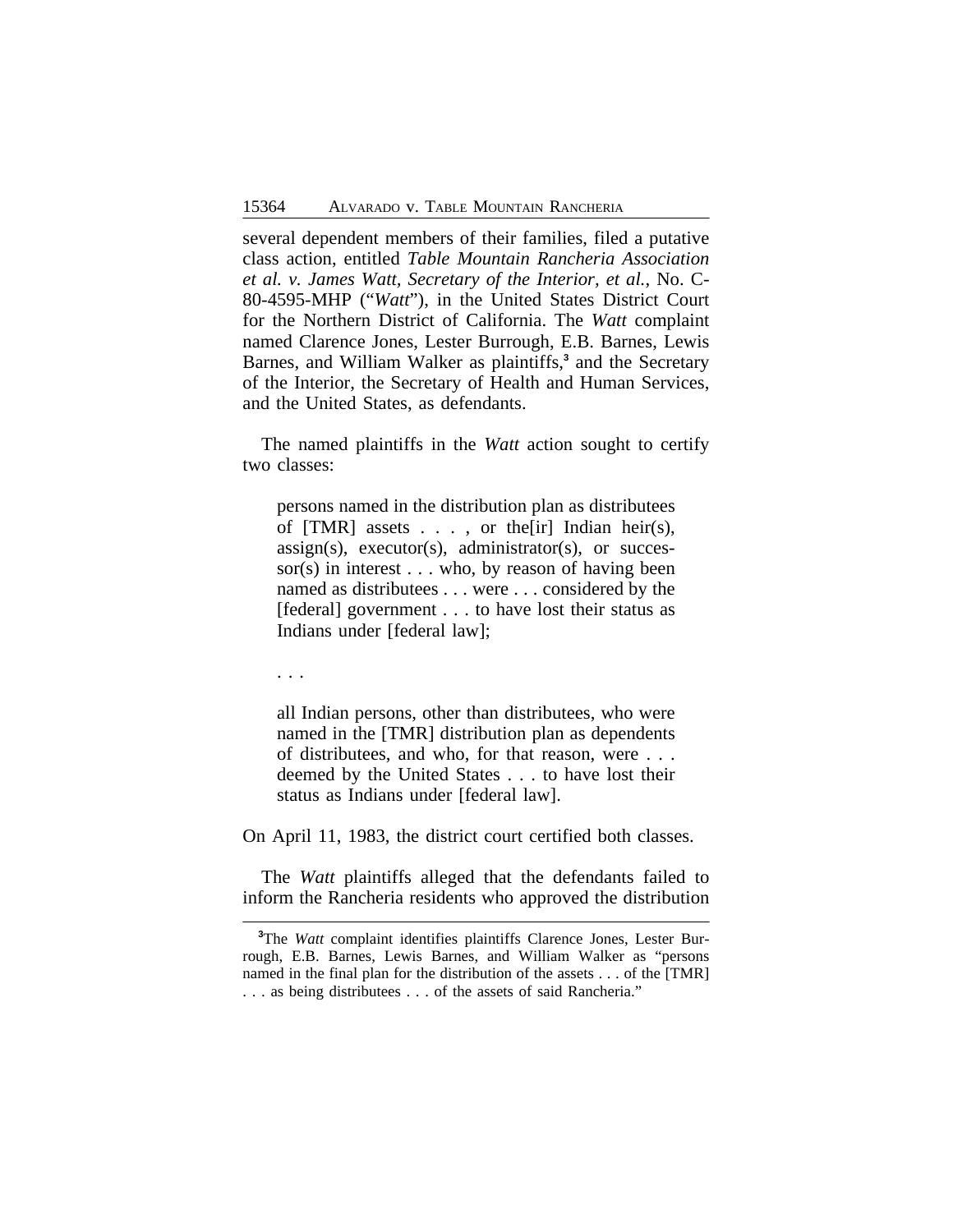several dependent members of their families, filed a putative class action, entitled *Table Mountain Rancheria Association et al. v. James Watt, Secretary of the Interior, et al.*, No. C-80-4595-MHP ("*Watt*"), in the United States District Court for the Northern District of California. The *Watt* complaint named Clarence Jones, Lester Burrough, E.B. Barnes, Lewis Barnes, and William Walker as plaintiffs,**<sup>3</sup>** and the Secretary of the Interior, the Secretary of Health and Human Services, and the United States, as defendants.

The named plaintiffs in the *Watt* action sought to certify two classes:

persons named in the distribution plan as distributees of  $[TMR]$  assets  $\ldots$ , or the [ir] Indian heir(s),  $assign(s)$ ,  $execution(s)$ ,  $administrator(s)$ ,  $or$  successor(s) in interest  $\dots$  who, by reason of having been named as distributees . . . were . . . considered by the [federal] government . . . to have lost their status as Indians under [federal law];

. . .

all Indian persons, other than distributees, who were named in the [TMR] distribution plan as dependents of distributees, and who, for that reason, were . . . deemed by the United States . . . to have lost their status as Indians under [federal law].

On April 11, 1983, the district court certified both classes.

The *Watt* plaintiffs alleged that the defendants failed to inform the Rancheria residents who approved the distribution

**<sup>3</sup>**The *Watt* complaint identifies plaintiffs Clarence Jones, Lester Burrough, E.B. Barnes, Lewis Barnes, and William Walker as "persons named in the final plan for the distribution of the assets . . . of the [TMR] . . . as being distributees . . . of the assets of said Rancheria."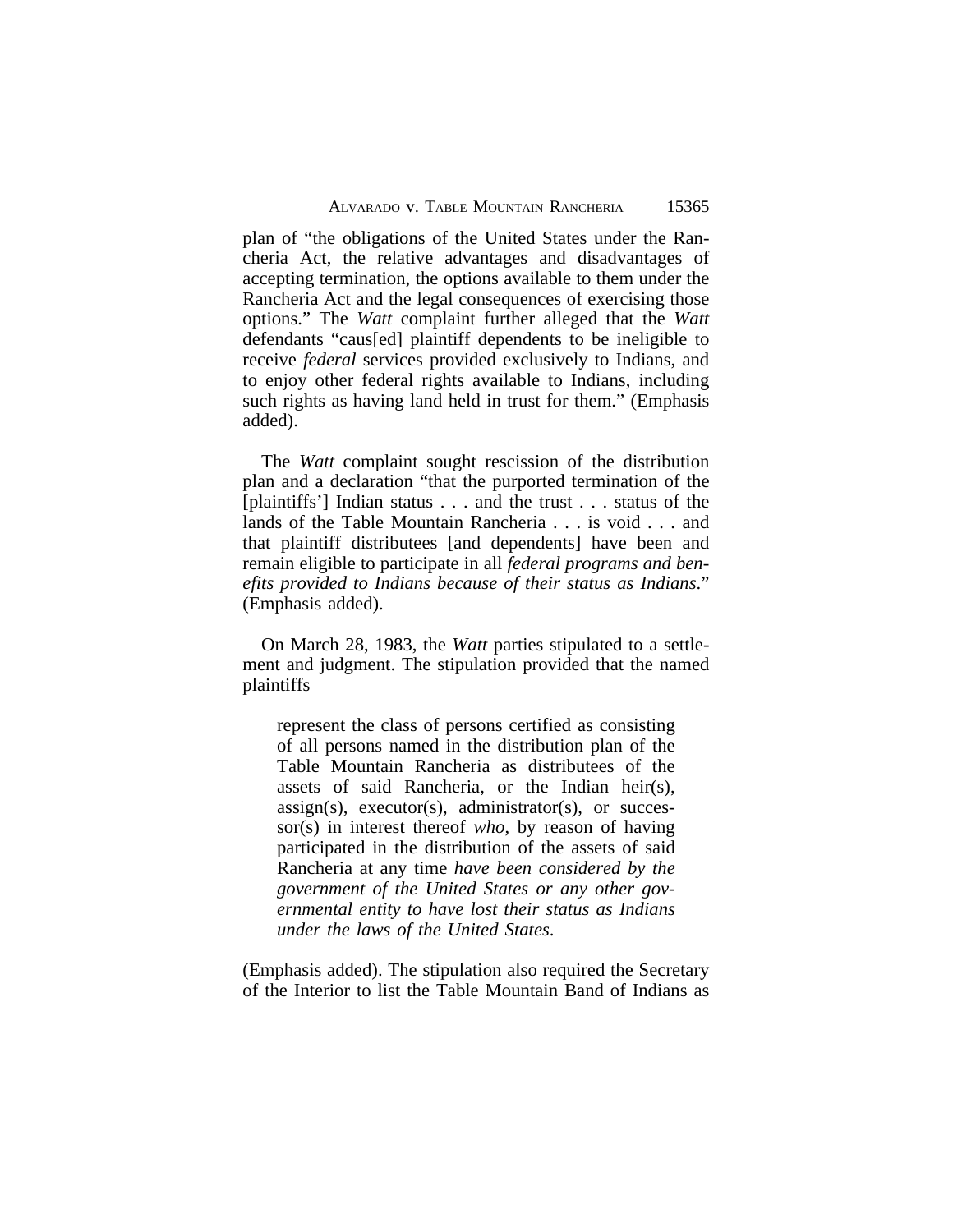plan of "the obligations of the United States under the Rancheria Act, the relative advantages and disadvantages of accepting termination, the options available to them under the Rancheria Act and the legal consequences of exercising those options." The *Watt* complaint further alleged that the *Watt* defendants "caus[ed] plaintiff dependents to be ineligible to receive *federal* services provided exclusively to Indians, and to enjoy other federal rights available to Indians, including such rights as having land held in trust for them." (Emphasis added).

The *Watt* complaint sought rescission of the distribution plan and a declaration "that the purported termination of the [plaintiffs'] Indian status . . . and the trust . . . status of the lands of the Table Mountain Rancheria . . . is void . . . and that plaintiff distributees [and dependents] have been and remain eligible to participate in all *federal programs and benefits provided to Indians because of their status as Indians*." (Emphasis added).

On March 28, 1983, the *Watt* parties stipulated to a settlement and judgment. The stipulation provided that the named plaintiffs

represent the class of persons certified as consisting of all persons named in the distribution plan of the Table Mountain Rancheria as distributees of the assets of said Rancheria, or the Indian heir(s),  $assign(s)$ ,  $execution(s)$ ,  $administrator(s)$ , or successor(s) in interest thereof *who*, by reason of having participated in the distribution of the assets of said Rancheria at any time *have been considered by the government of the United States or any other governmental entity to have lost their status as Indians under the laws of the United States*.

(Emphasis added). The stipulation also required the Secretary of the Interior to list the Table Mountain Band of Indians as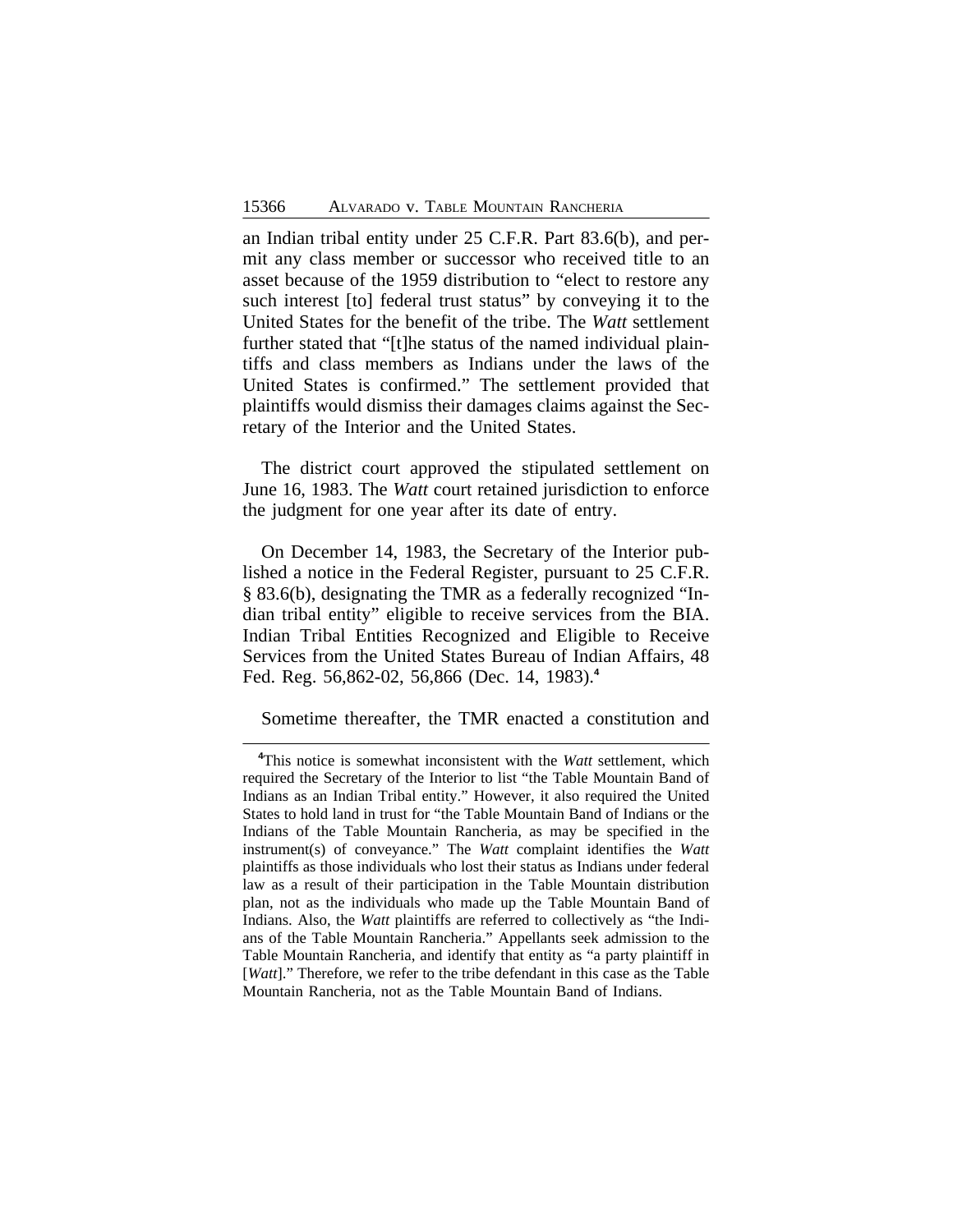an Indian tribal entity under 25 C.F.R. Part 83.6(b), and permit any class member or successor who received title to an asset because of the 1959 distribution to "elect to restore any such interest [to] federal trust status" by conveying it to the United States for the benefit of the tribe. The *Watt* settlement further stated that "[t]he status of the named individual plaintiffs and class members as Indians under the laws of the United States is confirmed." The settlement provided that plaintiffs would dismiss their damages claims against the Secretary of the Interior and the United States.

The district court approved the stipulated settlement on June 16, 1983. The *Watt* court retained jurisdiction to enforce the judgment for one year after its date of entry.

On December 14, 1983, the Secretary of the Interior published a notice in the Federal Register, pursuant to 25 C.F.R. § 83.6(b), designating the TMR as a federally recognized "Indian tribal entity" eligible to receive services from the BIA. Indian Tribal Entities Recognized and Eligible to Receive Services from the United States Bureau of Indian Affairs, 48 Fed. Reg. 56,862-02, 56,866 (Dec. 14, 1983).**<sup>4</sup>**

Sometime thereafter, the TMR enacted a constitution and

**<sup>4</sup>**This notice is somewhat inconsistent with the *Watt* settlement, which required the Secretary of the Interior to list "the Table Mountain Band of Indians as an Indian Tribal entity." However, it also required the United States to hold land in trust for "the Table Mountain Band of Indians or the Indians of the Table Mountain Rancheria, as may be specified in the instrument(s) of conveyance." The *Watt* complaint identifies the *Watt* plaintiffs as those individuals who lost their status as Indians under federal law as a result of their participation in the Table Mountain distribution plan, not as the individuals who made up the Table Mountain Band of Indians. Also, the *Watt* plaintiffs are referred to collectively as "the Indians of the Table Mountain Rancheria." Appellants seek admission to the Table Mountain Rancheria, and identify that entity as "a party plaintiff in [*Watt*]." Therefore, we refer to the tribe defendant in this case as the Table Mountain Rancheria, not as the Table Mountain Band of Indians.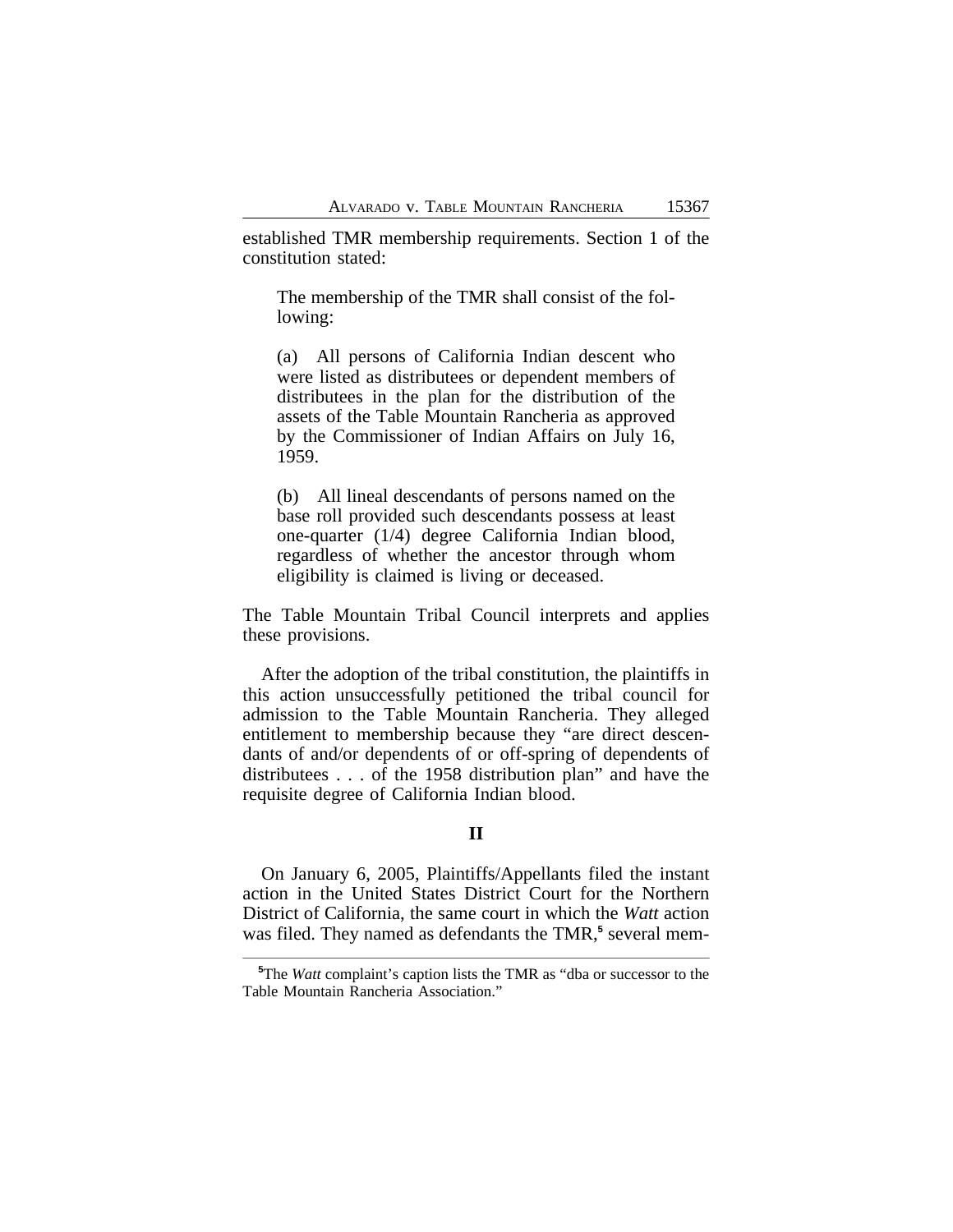established TMR membership requirements. Section 1 of the constitution stated:

The membership of the TMR shall consist of the following:

(a) All persons of California Indian descent who were listed as distributees or dependent members of distributees in the plan for the distribution of the assets of the Table Mountain Rancheria as approved by the Commissioner of Indian Affairs on July 16, 1959.

(b) All lineal descendants of persons named on the base roll provided such descendants possess at least one-quarter (1/4) degree California Indian blood, regardless of whether the ancestor through whom eligibility is claimed is living or deceased.

The Table Mountain Tribal Council interprets and applies these provisions.

After the adoption of the tribal constitution, the plaintiffs in this action unsuccessfully petitioned the tribal council for admission to the Table Mountain Rancheria. They alleged entitlement to membership because they "are direct descendants of and/or dependents of or off-spring of dependents of distributees . . . of the 1958 distribution plan" and have the requisite degree of California Indian blood.

#### **II**

On January 6, 2005, Plaintiffs/Appellants filed the instant action in the United States District Court for the Northern District of California, the same court in which the *Watt* action was filed. They named as defendants the TMR,<sup>5</sup> several mem-

**<sup>5</sup>**The *Watt* complaint's caption lists the TMR as "dba or successor to the Table Mountain Rancheria Association."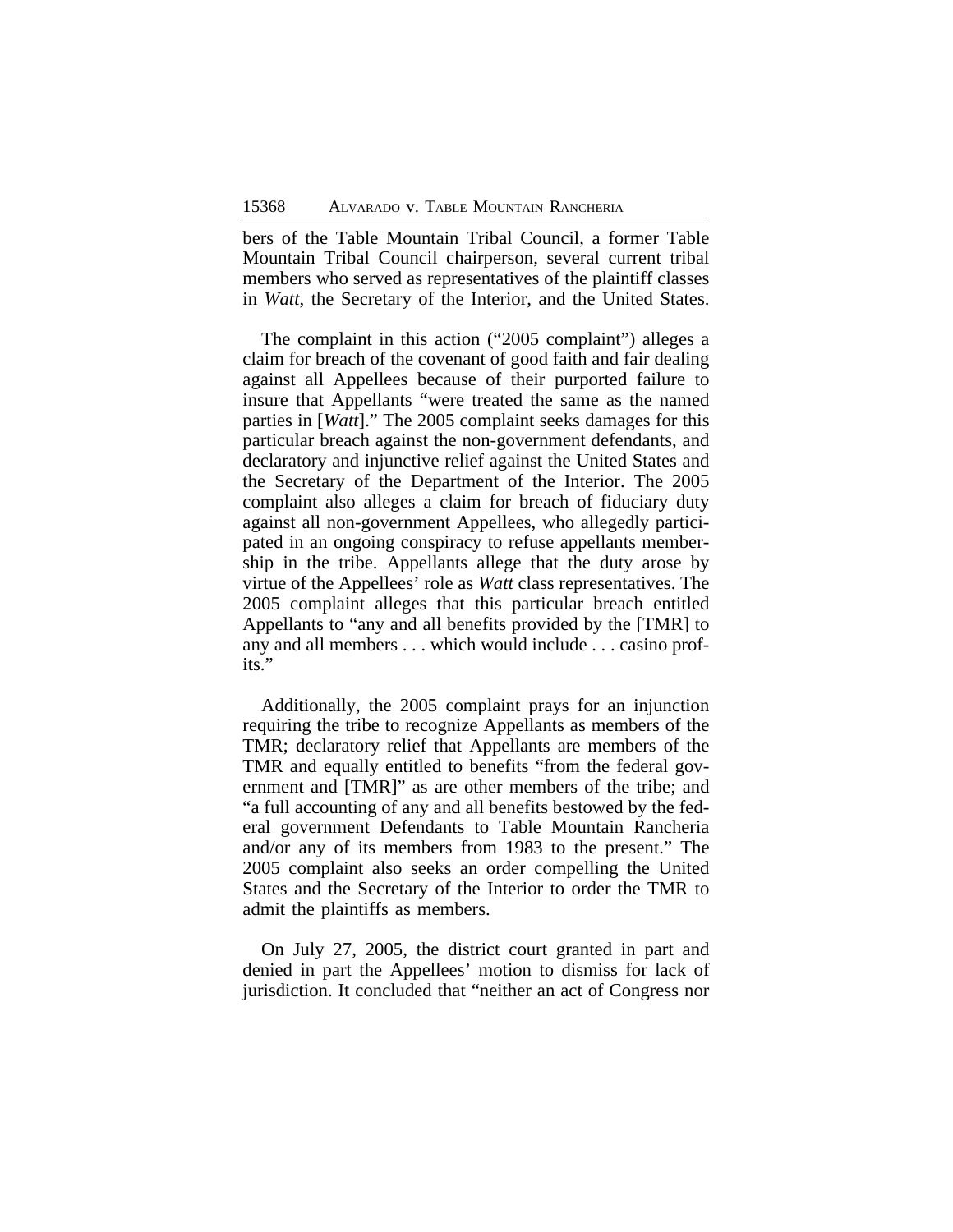bers of the Table Mountain Tribal Council, a former Table Mountain Tribal Council chairperson, several current tribal members who served as representatives of the plaintiff classes in *Watt*, the Secretary of the Interior, and the United States.

The complaint in this action ("2005 complaint") alleges a claim for breach of the covenant of good faith and fair dealing against all Appellees because of their purported failure to insure that Appellants "were treated the same as the named parties in [*Watt*]." The 2005 complaint seeks damages for this particular breach against the non-government defendants, and declaratory and injunctive relief against the United States and the Secretary of the Department of the Interior. The 2005 complaint also alleges a claim for breach of fiduciary duty against all non-government Appellees, who allegedly participated in an ongoing conspiracy to refuse appellants membership in the tribe. Appellants allege that the duty arose by virtue of the Appellees' role as *Watt* class representatives. The 2005 complaint alleges that this particular breach entitled Appellants to "any and all benefits provided by the [TMR] to any and all members . . . which would include . . . casino profits."

Additionally, the 2005 complaint prays for an injunction requiring the tribe to recognize Appellants as members of the TMR; declaratory relief that Appellants are members of the TMR and equally entitled to benefits "from the federal government and [TMR]" as are other members of the tribe; and "a full accounting of any and all benefits bestowed by the federal government Defendants to Table Mountain Rancheria and/or any of its members from 1983 to the present." The 2005 complaint also seeks an order compelling the United States and the Secretary of the Interior to order the TMR to admit the plaintiffs as members.

On July 27, 2005, the district court granted in part and denied in part the Appellees' motion to dismiss for lack of jurisdiction. It concluded that "neither an act of Congress nor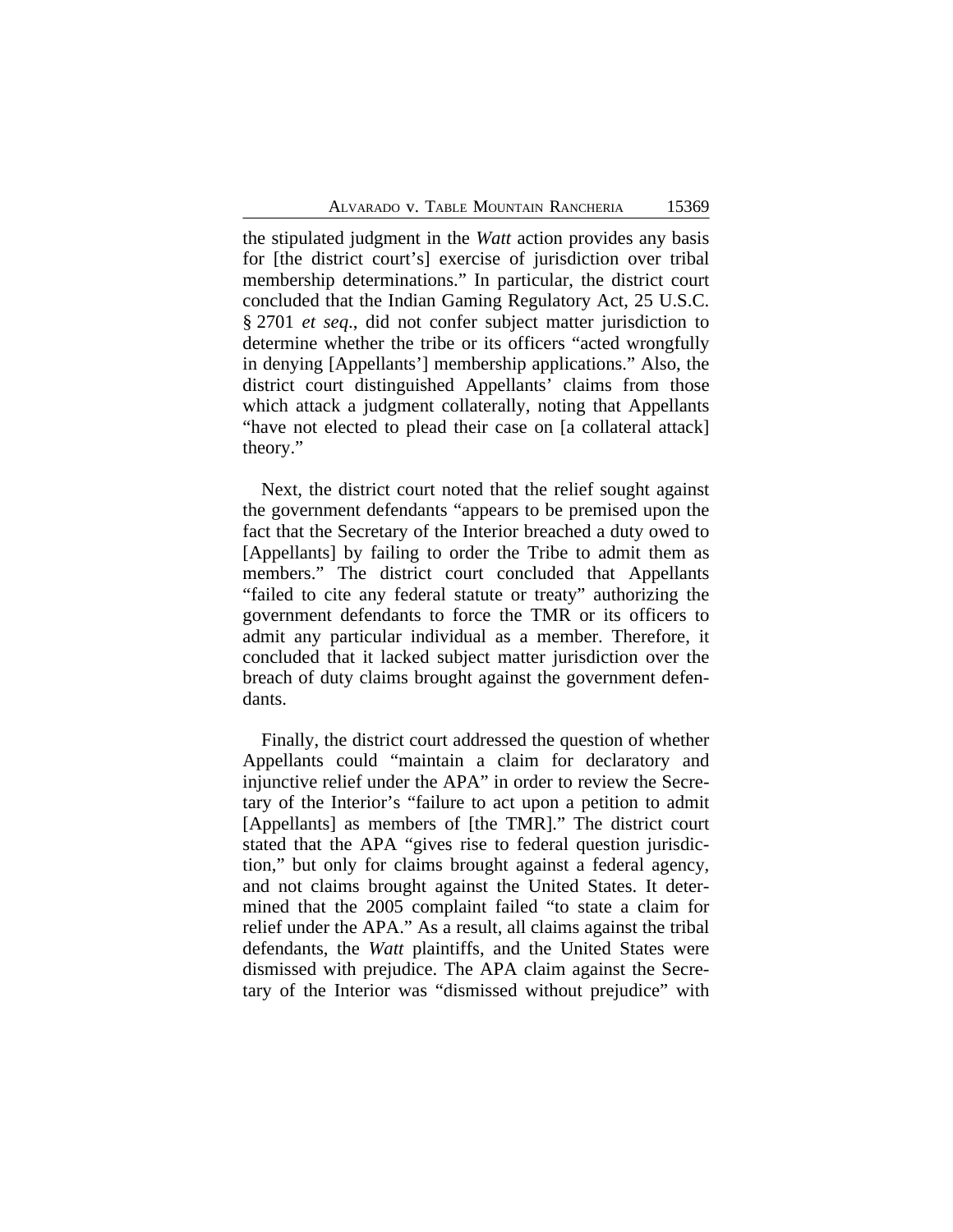the stipulated judgment in the *Watt* action provides any basis for [the district court's] exercise of jurisdiction over tribal membership determinations." In particular, the district court concluded that the Indian Gaming Regulatory Act, 25 U.S.C. § 2701 *et seq*., did not confer subject matter jurisdiction to determine whether the tribe or its officers "acted wrongfully in denying [Appellants'] membership applications." Also, the district court distinguished Appellants' claims from those which attack a judgment collaterally, noting that Appellants "have not elected to plead their case on [a collateral attack] theory."

Next, the district court noted that the relief sought against the government defendants "appears to be premised upon the fact that the Secretary of the Interior breached a duty owed to [Appellants] by failing to order the Tribe to admit them as members." The district court concluded that Appellants "failed to cite any federal statute or treaty" authorizing the government defendants to force the TMR or its officers to admit any particular individual as a member. Therefore, it concluded that it lacked subject matter jurisdiction over the breach of duty claims brought against the government defendants.

Finally, the district court addressed the question of whether Appellants could "maintain a claim for declaratory and injunctive relief under the APA" in order to review the Secretary of the Interior's "failure to act upon a petition to admit [Appellants] as members of [the TMR]." The district court stated that the APA "gives rise to federal question jurisdiction," but only for claims brought against a federal agency, and not claims brought against the United States. It determined that the 2005 complaint failed "to state a claim for relief under the APA." As a result, all claims against the tribal defendants, the *Watt* plaintiffs, and the United States were dismissed with prejudice. The APA claim against the Secretary of the Interior was "dismissed without prejudice" with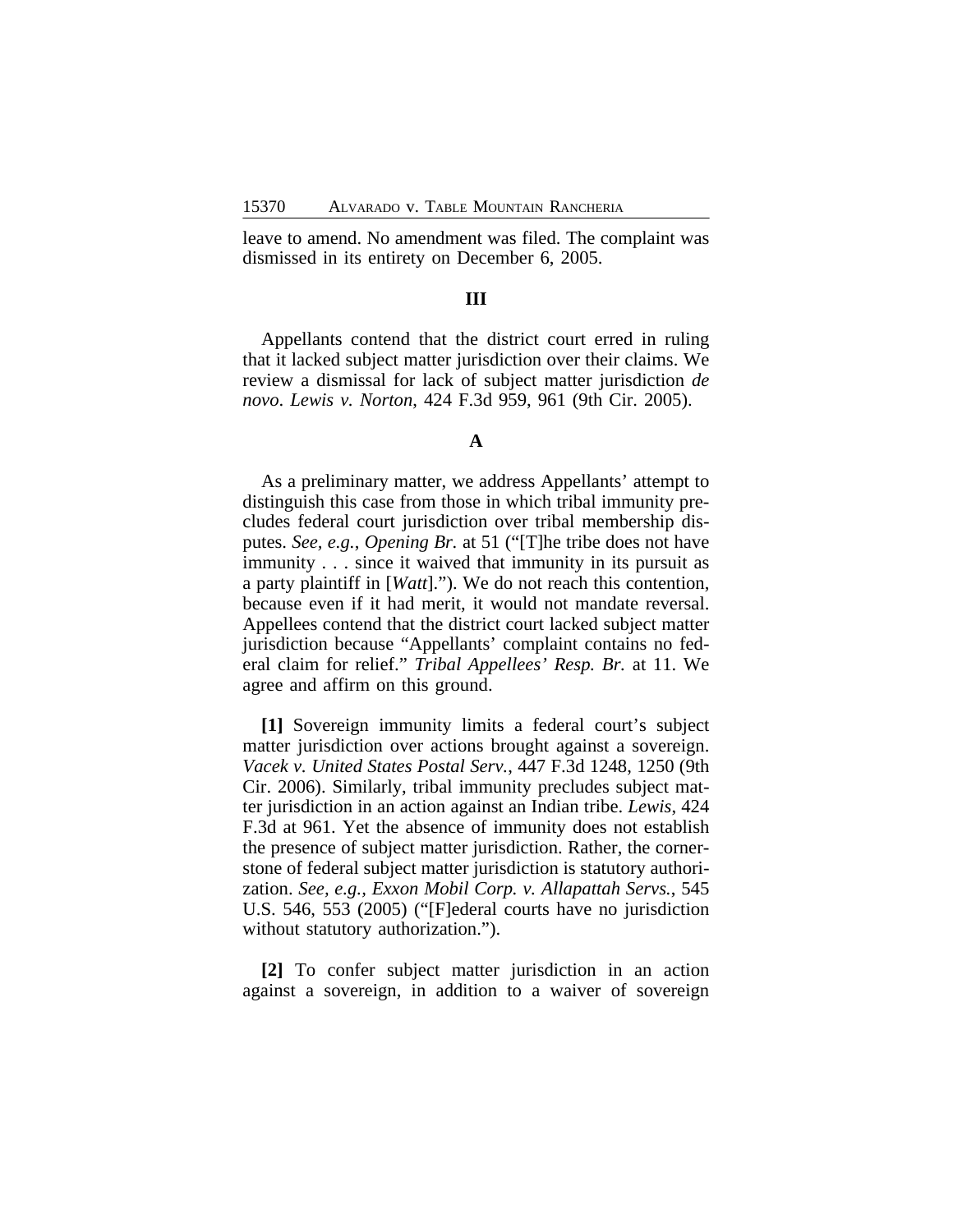leave to amend. No amendment was filed. The complaint was dismissed in its entirety on December 6, 2005.

## **III**

Appellants contend that the district court erred in ruling that it lacked subject matter jurisdiction over their claims. We review a dismissal for lack of subject matter jurisdiction *de novo*. *Lewis v. Norton*, 424 F.3d 959, 961 (9th Cir. 2005).

#### **A**

As a preliminary matter, we address Appellants' attempt to distinguish this case from those in which tribal immunity precludes federal court jurisdiction over tribal membership disputes. *See, e.g.*, *Opening Br.* at 51 ("[T]he tribe does not have immunity . . . since it waived that immunity in its pursuit as a party plaintiff in [*Watt*]."). We do not reach this contention, because even if it had merit, it would not mandate reversal. Appellees contend that the district court lacked subject matter jurisdiction because "Appellants' complaint contains no federal claim for relief." *Tribal Appellees' Resp. Br.* at 11. We agree and affirm on this ground.

**[1]** Sovereign immunity limits a federal court's subject matter jurisdiction over actions brought against a sovereign. *Vacek v. United States Postal Serv.*, 447 F.3d 1248, 1250 (9th Cir. 2006). Similarly, tribal immunity precludes subject matter jurisdiction in an action against an Indian tribe. *Lewis*, 424 F.3d at 961. Yet the absence of immunity does not establish the presence of subject matter jurisdiction. Rather, the cornerstone of federal subject matter jurisdiction is statutory authorization. *See, e.g., Exxon Mobil Corp. v. Allapattah Servs.*, 545 U.S. 546, 553 (2005) ("[F]ederal courts have no jurisdiction without statutory authorization.").

**[2]** To confer subject matter jurisdiction in an action against a sovereign, in addition to a waiver of sovereign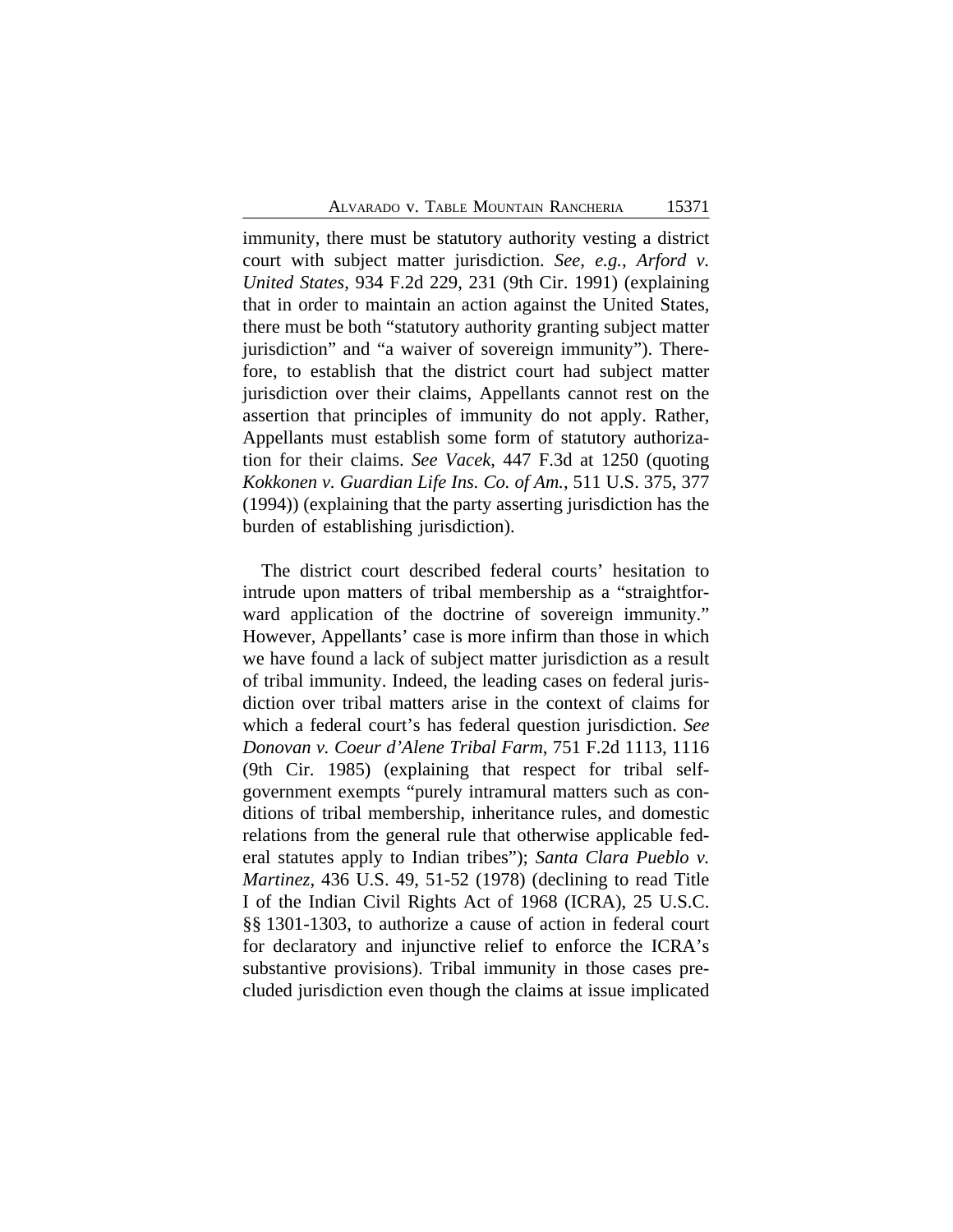immunity, there must be statutory authority vesting a district court with subject matter jurisdiction. *See, e.g., Arford v. United States*, 934 F.2d 229, 231 (9th Cir. 1991) (explaining that in order to maintain an action against the United States, there must be both "statutory authority granting subject matter jurisdiction" and "a waiver of sovereign immunity"). Therefore, to establish that the district court had subject matter jurisdiction over their claims, Appellants cannot rest on the assertion that principles of immunity do not apply. Rather, Appellants must establish some form of statutory authorization for their claims. *See Vacek*, 447 F.3d at 1250 (quoting *Kokkonen v. Guardian Life Ins. Co. of Am.*, 511 U.S. 375, 377 (1994)) (explaining that the party asserting jurisdiction has the burden of establishing jurisdiction).

The district court described federal courts' hesitation to intrude upon matters of tribal membership as a "straightforward application of the doctrine of sovereign immunity." However, Appellants' case is more infirm than those in which we have found a lack of subject matter jurisdiction as a result of tribal immunity. Indeed, the leading cases on federal jurisdiction over tribal matters arise in the context of claims for which a federal court's has federal question jurisdiction. *See Donovan v. Coeur d'Alene Tribal Farm*, 751 F.2d 1113, 1116 (9th Cir. 1985) (explaining that respect for tribal selfgovernment exempts "purely intramural matters such as conditions of tribal membership, inheritance rules, and domestic relations from the general rule that otherwise applicable federal statutes apply to Indian tribes"); *Santa Clara Pueblo v. Martinez*, 436 U.S. 49, 51-52 (1978) (declining to read Title I of the Indian Civil Rights Act of 1968 (ICRA), 25 U.S.C. §§ 1301-1303, to authorize a cause of action in federal court for declaratory and injunctive relief to enforce the ICRA's substantive provisions). Tribal immunity in those cases precluded jurisdiction even though the claims at issue implicated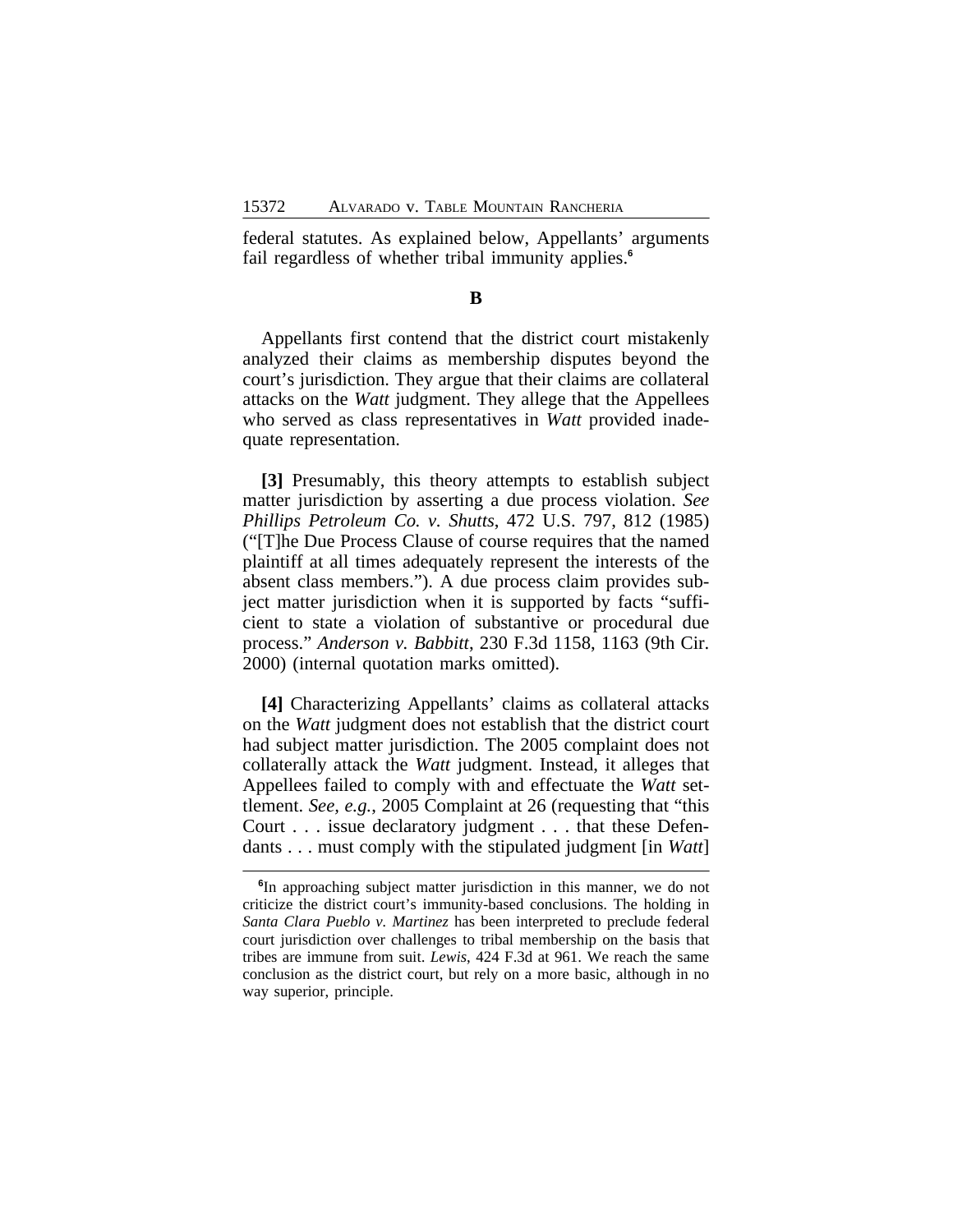federal statutes. As explained below, Appellants' arguments fail regardless of whether tribal immunity applies.**<sup>6</sup>**

#### **B**

Appellants first contend that the district court mistakenly analyzed their claims as membership disputes beyond the court's jurisdiction. They argue that their claims are collateral attacks on the *Watt* judgment. They allege that the Appellees who served as class representatives in *Watt* provided inadequate representation.

**[3]** Presumably, this theory attempts to establish subject matter jurisdiction by asserting a due process violation. *See Phillips Petroleum Co. v. Shutts*, 472 U.S. 797, 812 (1985) ("[T]he Due Process Clause of course requires that the named plaintiff at all times adequately represent the interests of the absent class members."). A due process claim provides subject matter jurisdiction when it is supported by facts "sufficient to state a violation of substantive or procedural due process." *Anderson v. Babbitt*, 230 F.3d 1158, 1163 (9th Cir. 2000) (internal quotation marks omitted).

**[4]** Characterizing Appellants' claims as collateral attacks on the *Watt* judgment does not establish that the district court had subject matter jurisdiction. The 2005 complaint does not collaterally attack the *Watt* judgment. Instead, it alleges that Appellees failed to comply with and effectuate the *Watt* settlement. *See, e.g.*, 2005 Complaint at 26 (requesting that "this Court . . . issue declaratory judgment . . . that these Defendants . . . must comply with the stipulated judgment [in *Watt*]

**<sup>6</sup>** In approaching subject matter jurisdiction in this manner, we do not criticize the district court's immunity-based conclusions. The holding in *Santa Clara Pueblo v. Martinez* has been interpreted to preclude federal court jurisdiction over challenges to tribal membership on the basis that tribes are immune from suit. *Lewis*, 424 F.3d at 961. We reach the same conclusion as the district court, but rely on a more basic, although in no way superior, principle.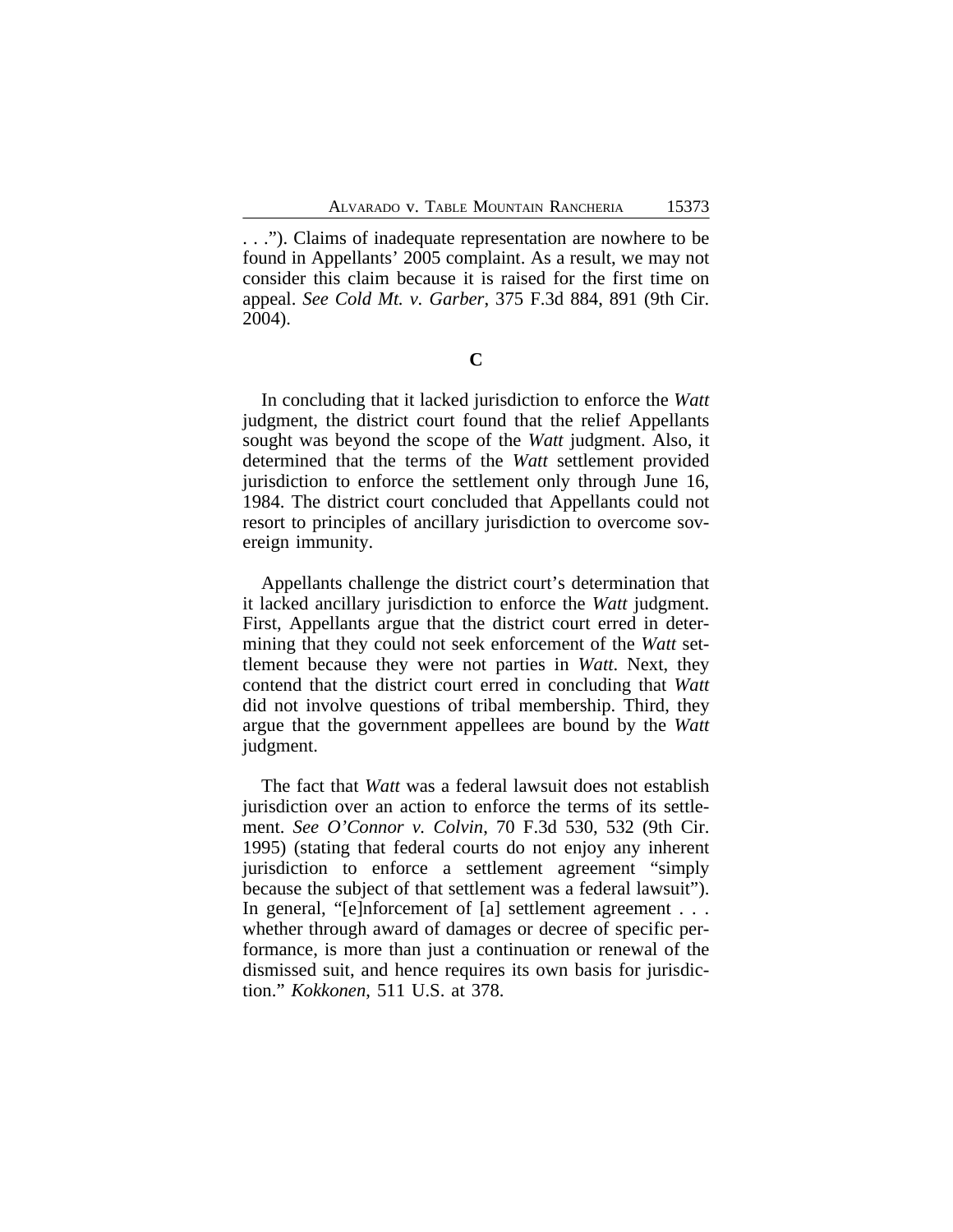. . ."). Claims of inadequate representation are nowhere to be found in Appellants' 2005 complaint. As a result, we may not consider this claim because it is raised for the first time on appeal. *See Cold Mt. v. Garber*, 375 F.3d 884, 891 (9th Cir. 2004).

**C**

In concluding that it lacked jurisdiction to enforce the *Watt* judgment, the district court found that the relief Appellants sought was beyond the scope of the *Watt* judgment. Also, it determined that the terms of the *Watt* settlement provided jurisdiction to enforce the settlement only through June 16, 1984. The district court concluded that Appellants could not resort to principles of ancillary jurisdiction to overcome sovereign immunity.

Appellants challenge the district court's determination that it lacked ancillary jurisdiction to enforce the *Watt* judgment. First, Appellants argue that the district court erred in determining that they could not seek enforcement of the *Watt* settlement because they were not parties in *Watt*. Next, they contend that the district court erred in concluding that *Watt* did not involve questions of tribal membership. Third, they argue that the government appellees are bound by the *Watt* judgment.

The fact that *Watt* was a federal lawsuit does not establish jurisdiction over an action to enforce the terms of its settlement. *See O'Connor v. Colvin*, 70 F.3d 530, 532 (9th Cir. 1995) (stating that federal courts do not enjoy any inherent jurisdiction to enforce a settlement agreement "simply because the subject of that settlement was a federal lawsuit"). In general, "[e]nforcement of [a] settlement agreement . . . whether through award of damages or decree of specific performance, is more than just a continuation or renewal of the dismissed suit, and hence requires its own basis for jurisdiction." *Kokkonen*, 511 U.S. at 378.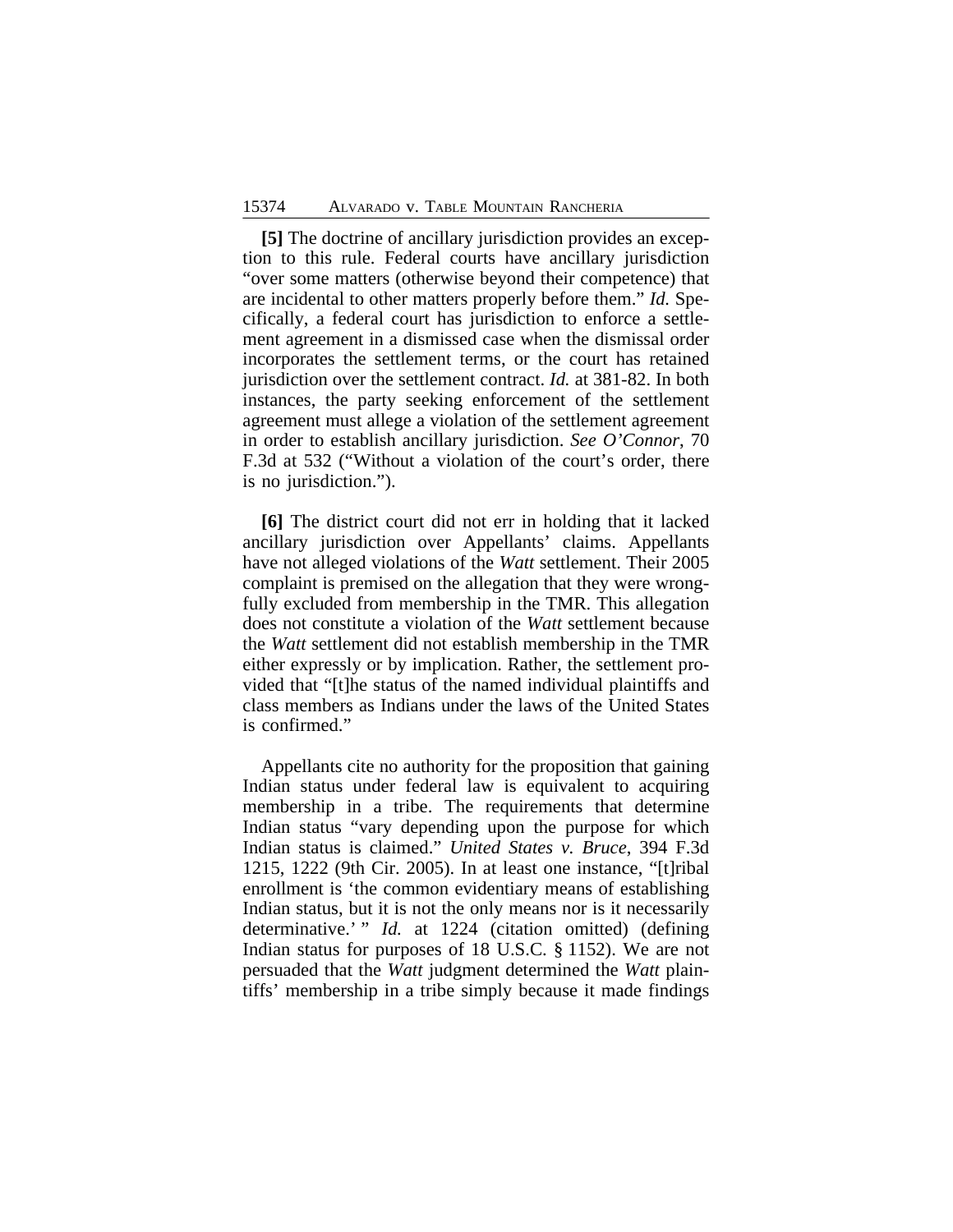**[5]** The doctrine of ancillary jurisdiction provides an exception to this rule. Federal courts have ancillary jurisdiction "over some matters (otherwise beyond their competence) that are incidental to other matters properly before them." *Id.* Specifically, a federal court has jurisdiction to enforce a settlement agreement in a dismissed case when the dismissal order incorporates the settlement terms, or the court has retained jurisdiction over the settlement contract. *Id.* at 381-82. In both instances, the party seeking enforcement of the settlement agreement must allege a violation of the settlement agreement in order to establish ancillary jurisdiction. *See O'Connor*, 70 F.3d at 532 ("Without a violation of the court's order, there is no jurisdiction.").

**[6]** The district court did not err in holding that it lacked ancillary jurisdiction over Appellants' claims. Appellants have not alleged violations of the *Watt* settlement. Their 2005 complaint is premised on the allegation that they were wrongfully excluded from membership in the TMR. This allegation does not constitute a violation of the *Watt* settlement because the *Watt* settlement did not establish membership in the TMR either expressly or by implication. Rather, the settlement provided that "[t]he status of the named individual plaintiffs and class members as Indians under the laws of the United States is confirmed."

Appellants cite no authority for the proposition that gaining Indian status under federal law is equivalent to acquiring membership in a tribe. The requirements that determine Indian status "vary depending upon the purpose for which Indian status is claimed." *United States v. Bruce*, 394 F.3d 1215, 1222 (9th Cir. 2005). In at least one instance, "[t]ribal enrollment is 'the common evidentiary means of establishing Indian status, but it is not the only means nor is it necessarily determinative.' " *Id.* at 1224 (citation omitted) (defining Indian status for purposes of 18 U.S.C. § 1152). We are not persuaded that the *Watt* judgment determined the *Watt* plaintiffs' membership in a tribe simply because it made findings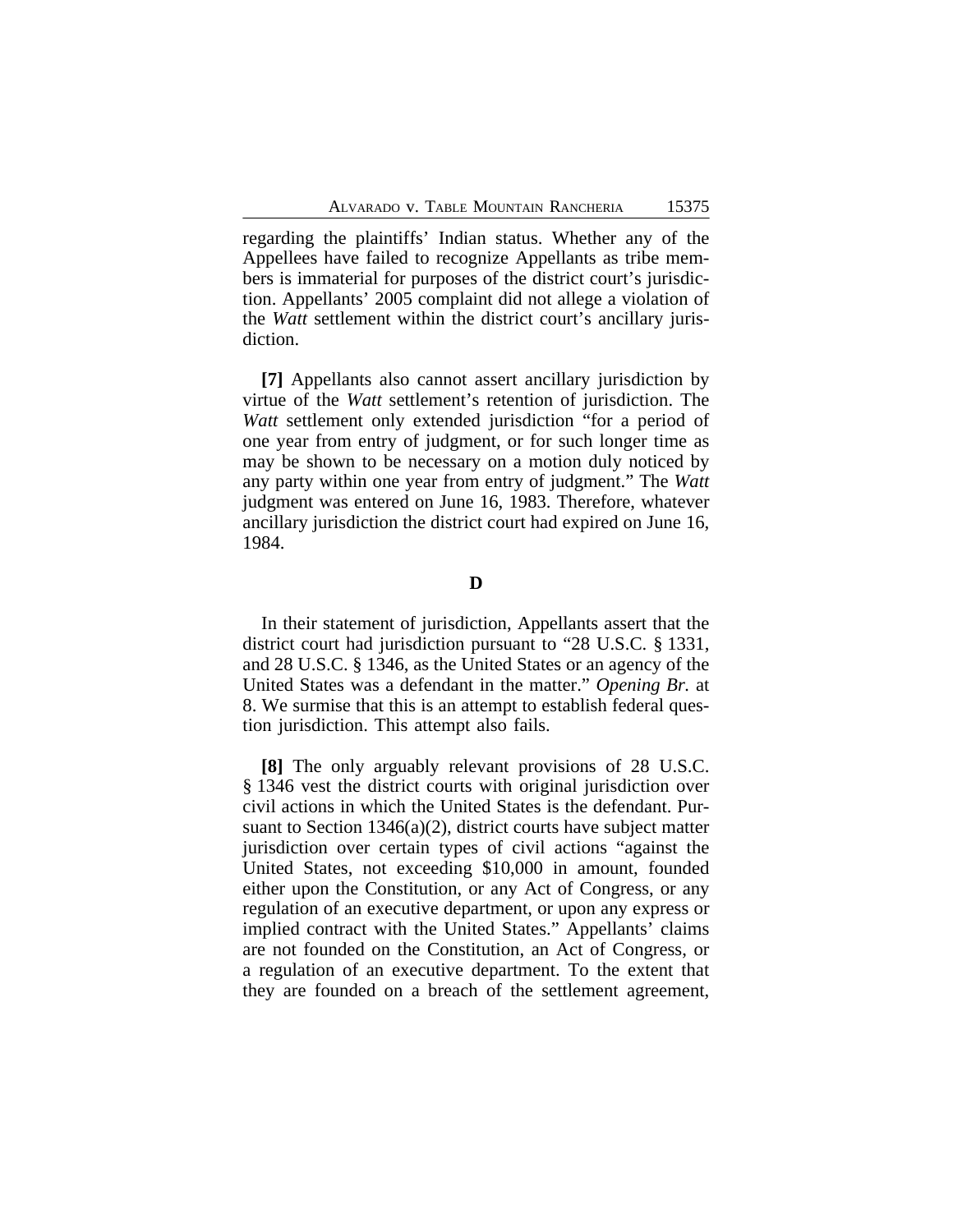regarding the plaintiffs' Indian status. Whether any of the Appellees have failed to recognize Appellants as tribe members is immaterial for purposes of the district court's jurisdiction. Appellants' 2005 complaint did not allege a violation of the *Watt* settlement within the district court's ancillary jurisdiction.

**[7]** Appellants also cannot assert ancillary jurisdiction by virtue of the *Watt* settlement's retention of jurisdiction. The *Watt* settlement only extended jurisdiction "for a period of one year from entry of judgment, or for such longer time as may be shown to be necessary on a motion duly noticed by any party within one year from entry of judgment." The *Watt* judgment was entered on June 16, 1983. Therefore, whatever ancillary jurisdiction the district court had expired on June 16, 1984.

**D**

In their statement of jurisdiction, Appellants assert that the district court had jurisdiction pursuant to "28 U.S.C. § 1331, and 28 U.S.C. § 1346, as the United States or an agency of the United States was a defendant in the matter." *Opening Br.* at 8. We surmise that this is an attempt to establish federal question jurisdiction. This attempt also fails.

**[8]** The only arguably relevant provisions of 28 U.S.C. § 1346 vest the district courts with original jurisdiction over civil actions in which the United States is the defendant. Pursuant to Section 1346(a)(2), district courts have subject matter jurisdiction over certain types of civil actions "against the United States, not exceeding \$10,000 in amount, founded either upon the Constitution, or any Act of Congress, or any regulation of an executive department, or upon any express or implied contract with the United States." Appellants' claims are not founded on the Constitution, an Act of Congress, or a regulation of an executive department. To the extent that they are founded on a breach of the settlement agreement,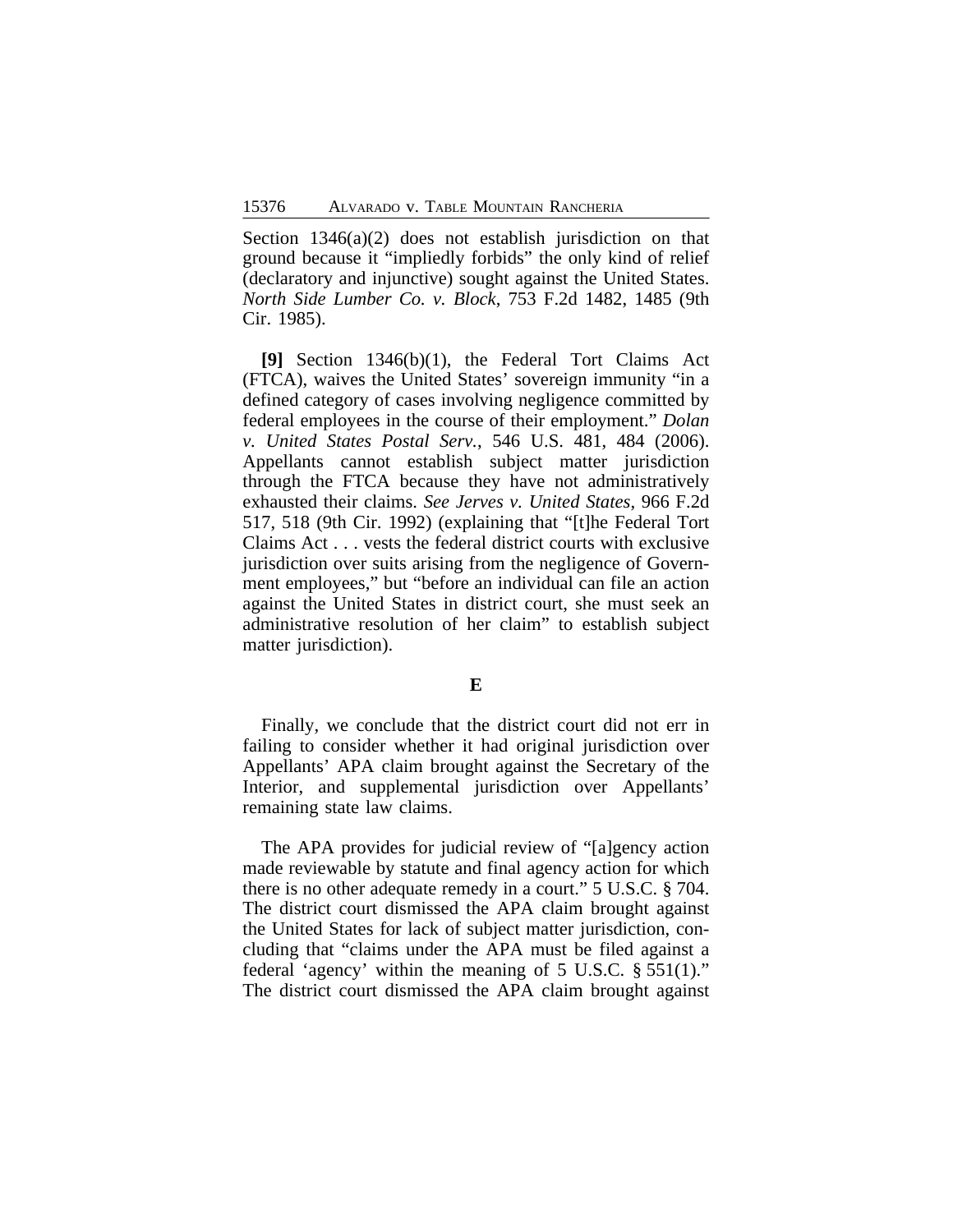Section 1346(a)(2) does not establish jurisdiction on that ground because it "impliedly forbids" the only kind of relief (declaratory and injunctive) sought against the United States. *North Side Lumber Co. v. Block*, 753 F.2d 1482, 1485 (9th Cir. 1985).

**[9]** Section 1346(b)(1), the Federal Tort Claims Act (FTCA), waives the United States' sovereign immunity "in a defined category of cases involving negligence committed by federal employees in the course of their employment." *Dolan v. United States Postal Serv.*, 546 U.S. 481, 484 (2006). Appellants cannot establish subject matter jurisdiction through the FTCA because they have not administratively exhausted their claims. *See Jerves v. United States*, 966 F.2d 517, 518 (9th Cir. 1992) (explaining that "[t]he Federal Tort Claims Act . . . vests the federal district courts with exclusive jurisdiction over suits arising from the negligence of Government employees," but "before an individual can file an action against the United States in district court, she must seek an administrative resolution of her claim" to establish subject matter jurisdiction).

## **E**

Finally, we conclude that the district court did not err in failing to consider whether it had original jurisdiction over Appellants' APA claim brought against the Secretary of the Interior, and supplemental jurisdiction over Appellants' remaining state law claims.

The APA provides for judicial review of "[a]gency action made reviewable by statute and final agency action for which there is no other adequate remedy in a court." 5 U.S.C. § 704. The district court dismissed the APA claim brought against the United States for lack of subject matter jurisdiction, concluding that "claims under the APA must be filed against a federal 'agency' within the meaning of 5 U.S.C. § 551(1)." The district court dismissed the APA claim brought against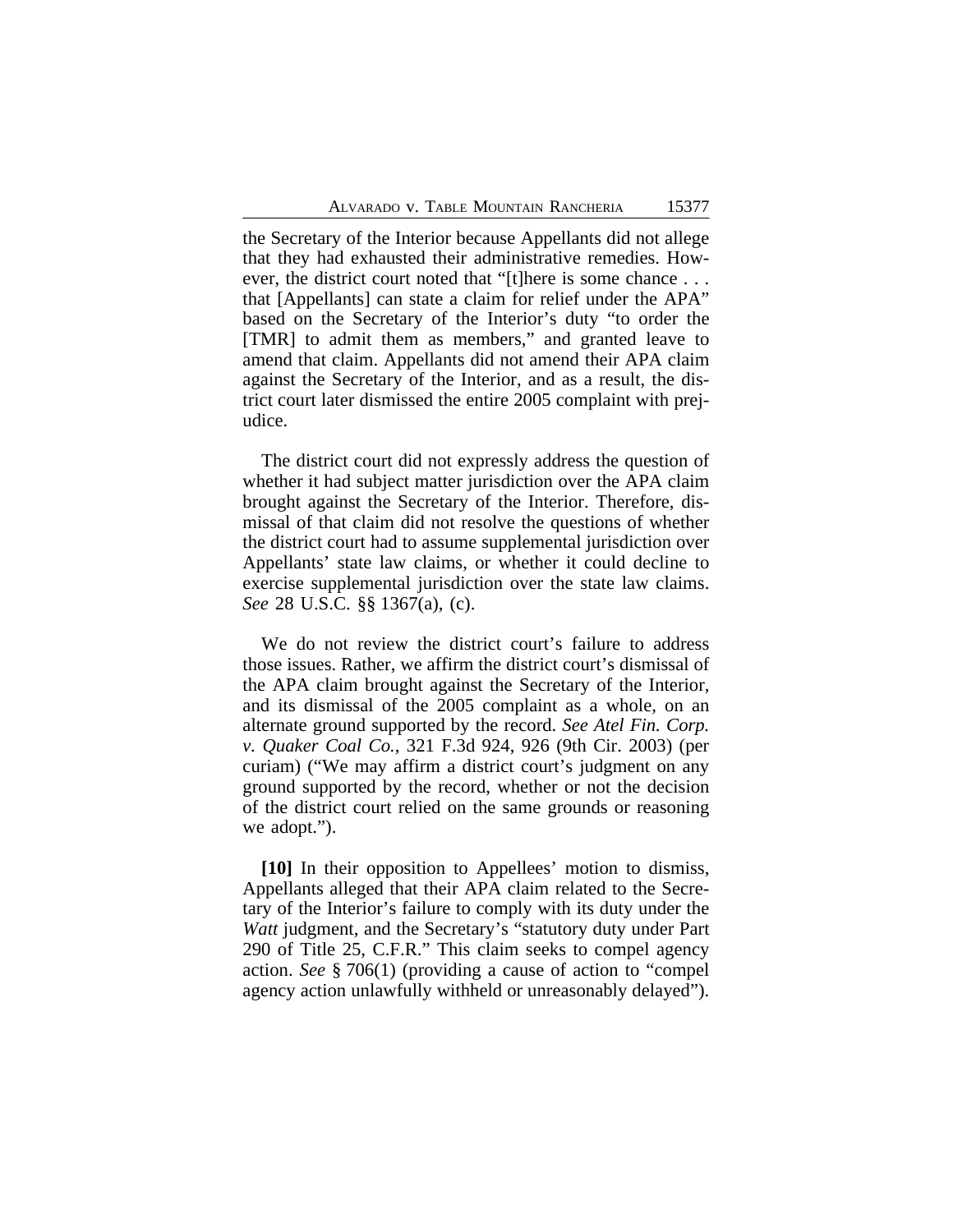the Secretary of the Interior because Appellants did not allege that they had exhausted their administrative remedies. However, the district court noted that "[t]here is some chance . . . that [Appellants] can state a claim for relief under the APA" based on the Secretary of the Interior's duty "to order the [TMR] to admit them as members," and granted leave to amend that claim. Appellants did not amend their APA claim against the Secretary of the Interior, and as a result, the district court later dismissed the entire 2005 complaint with prejudice.

The district court did not expressly address the question of whether it had subject matter jurisdiction over the APA claim brought against the Secretary of the Interior. Therefore, dismissal of that claim did not resolve the questions of whether the district court had to assume supplemental jurisdiction over Appellants' state law claims, or whether it could decline to exercise supplemental jurisdiction over the state law claims. *See* 28 U.S.C. §§ 1367(a), (c).

We do not review the district court's failure to address those issues. Rather, we affirm the district court's dismissal of the APA claim brought against the Secretary of the Interior, and its dismissal of the 2005 complaint as a whole, on an alternate ground supported by the record. *See Atel Fin. Corp. v. Quaker Coal Co.*, 321 F.3d 924, 926 (9th Cir. 2003) (per curiam) ("We may affirm a district court's judgment on any ground supported by the record, whether or not the decision of the district court relied on the same grounds or reasoning we adopt.").

**[10]** In their opposition to Appellees' motion to dismiss, Appellants alleged that their APA claim related to the Secretary of the Interior's failure to comply with its duty under the *Watt* judgment, and the Secretary's "statutory duty under Part 290 of Title 25, C.F.R." This claim seeks to compel agency action. *See* § 706(1) (providing a cause of action to "compel agency action unlawfully withheld or unreasonably delayed").